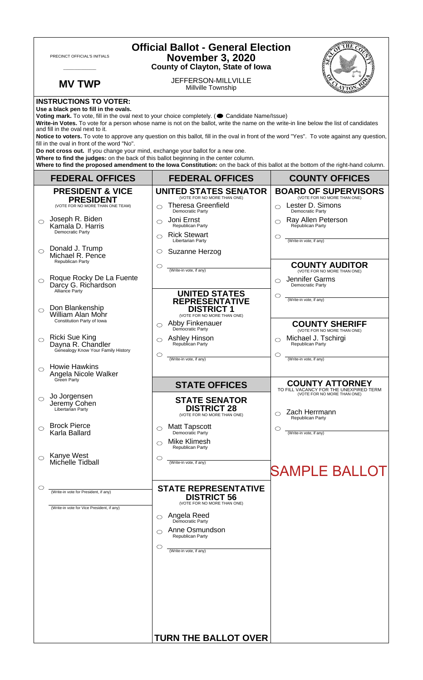| <b>Official Ballot - General Election</b><br>PRECINCT OFFICIAL'S INITIALS<br><b>November 3, 2020</b><br><b>County of Clayton, State of Iowa</b>                                                                                                                                                                                                                                                                                                                                                                                                      |                                                                                     |                                                                                            |                                                                                                 |  |
|------------------------------------------------------------------------------------------------------------------------------------------------------------------------------------------------------------------------------------------------------------------------------------------------------------------------------------------------------------------------------------------------------------------------------------------------------------------------------------------------------------------------------------------------------|-------------------------------------------------------------------------------------|--------------------------------------------------------------------------------------------|-------------------------------------------------------------------------------------------------|--|
|                                                                                                                                                                                                                                                                                                                                                                                                                                                                                                                                                      | <b>MV TWP</b>                                                                       | JEFFERSON-MILLVILLE<br>Millville Township                                                  |                                                                                                 |  |
| <b>INSTRUCTIONS TO VOTER:</b><br>Use a black pen to fill in the ovals.<br>Voting mark. To vote, fill in the oval next to your choice completely. (Candidate Name/Issue)<br>Write-in Votes. To vote for a person whose name is not on the ballot, write the name on the write-in line below the list of candidates<br>and fill in the oval next to it.<br>Notice to voters. To vote to approve any question on this ballot, fill in the oval in front of the word "Yes". To vote against any question,<br>fill in the oval in front of the word "No". |                                                                                     |                                                                                            |                                                                                                 |  |
| Do not cross out. If you change your mind, exchange your ballot for a new one.<br>Where to find the judges: on the back of this ballot beginning in the center column.<br>Where to find the proposed amendment to the lowa Constitution: on the back of this ballot at the bottom of the right-hand column.                                                                                                                                                                                                                                          |                                                                                     |                                                                                            |                                                                                                 |  |
|                                                                                                                                                                                                                                                                                                                                                                                                                                                                                                                                                      | <b>FEDERAL OFFICES</b>                                                              | <b>FEDERAL OFFICES</b>                                                                     | <b>COUNTY OFFICES</b>                                                                           |  |
|                                                                                                                                                                                                                                                                                                                                                                                                                                                                                                                                                      | <b>PRESIDENT &amp; VICE</b><br><b>PRESIDENT</b>                                     | <b>UNITED STATES SENATOR</b><br>(VOTE FOR NO MORE THAN ONE)                                | <b>BOARD OF SUPERVISORS</b><br>(VOTE FOR NO MORE THAN ONE)                                      |  |
| $\bigcirc$                                                                                                                                                                                                                                                                                                                                                                                                                                                                                                                                           | (VOTE FOR NO MORE THAN ONE TEAM)<br>Joseph R. Biden                                 | <b>Theresa Greenfield</b><br>⌒<br><b>Democratic Party</b><br>Joni Ernst<br>$\bigcirc$      | Lester D. Simons<br>Democratic Party<br>$\bigcirc$                                              |  |
|                                                                                                                                                                                                                                                                                                                                                                                                                                                                                                                                                      | Kamala D. Harris<br>Democratic Party                                                | Republican Party<br><b>Rick Stewart</b><br>◯                                               | Ray Allen Peterson<br>Republican Party<br>C                                                     |  |
| $\bigcirc$                                                                                                                                                                                                                                                                                                                                                                                                                                                                                                                                           | Donald J. Trump<br>Michael R. Pence                                                 | Libertarian Party<br>Suzanne Herzog<br>O                                                   | (Write-in vote, if any)                                                                         |  |
|                                                                                                                                                                                                                                                                                                                                                                                                                                                                                                                                                      | Republican Party                                                                    | $\circlearrowright$<br>(Write-in vote, if any)                                             | <b>COUNTY AUDITOR</b><br>(VOTE FOR NO MORE THAN ONE)                                            |  |
| $\bigcirc$                                                                                                                                                                                                                                                                                                                                                                                                                                                                                                                                           | Roque Rocky De La Fuente<br>Darcy G. Richardson                                     |                                                                                            | Jennifer Garms<br>◯<br>Democratic Party                                                         |  |
|                                                                                                                                                                                                                                                                                                                                                                                                                                                                                                                                                      | Alliance Party<br>Don Blankenship                                                   | <b>UNITED STATES</b><br><b>REPRESENTATIVE</b>                                              | $\circlearrowright$<br>(Write-in vote, if any)                                                  |  |
| $\bigcirc$                                                                                                                                                                                                                                                                                                                                                                                                                                                                                                                                           | William Alan Mohr<br>Constitution Party of Iowa                                     | <b>DISTRICT 1</b><br>(VOTE FOR NO MORE THAN ONE)<br>Abby Finkenauer<br>$\circlearrowright$ | <b>COUNTY SHERIFF</b>                                                                           |  |
| $\circ$                                                                                                                                                                                                                                                                                                                                                                                                                                                                                                                                              | Ricki Sue King<br>Dayna R. Chandler                                                 | Democratic Party<br>Ashley Hinson<br>Republican Party                                      | (VOTE FOR NO MORE THAN ONE)<br>Michael J. Tschirgi<br>⌒<br>Republican Party                     |  |
|                                                                                                                                                                                                                                                                                                                                                                                                                                                                                                                                                      | Genealogy Know Your Family History                                                  | ◯<br>(Write-in vote, if any)                                                               | O<br>(Write-in vote, if any)                                                                    |  |
| ◯                                                                                                                                                                                                                                                                                                                                                                                                                                                                                                                                                    | <b>Howie Hawkins</b><br>Angela Nicole Walker<br>Green Party                         |                                                                                            |                                                                                                 |  |
| $\circ$                                                                                                                                                                                                                                                                                                                                                                                                                                                                                                                                              | Jo Jorgensen                                                                        | <b>STATE OFFICES</b><br><b>STATE SENATOR</b>                                               | <b>COUNTY ATTORNEY</b><br>TO FILL VACANCY FOR THE UNEXPIRED TERM<br>(VOTE FOR NO MORE THAN ONE) |  |
|                                                                                                                                                                                                                                                                                                                                                                                                                                                                                                                                                      | Jeremy Cohen<br>Libertarian Party                                                   | <b>DISTRICT 28</b><br>(VOTE FOR NO MORE THAN ONE)                                          | Zach Herrmann<br>Republican Party                                                               |  |
| $\bigcirc$                                                                                                                                                                                                                                                                                                                                                                                                                                                                                                                                           | <b>Brock Pierce</b><br>Karla Ballard                                                | <b>Matt Tapscott</b><br>◯<br>Democratic Party                                              | C<br>(Write-in vote, if any)                                                                    |  |
|                                                                                                                                                                                                                                                                                                                                                                                                                                                                                                                                                      |                                                                                     | <b>Mike Klimesh</b><br>Republican Party                                                    |                                                                                                 |  |
| $\circ$                                                                                                                                                                                                                                                                                                                                                                                                                                                                                                                                              | Kanye West<br>Michelle Tidball                                                      | O<br>(Write-in vote, if any)                                                               | <b>SAMPLE BALLOT</b>                                                                            |  |
| O                                                                                                                                                                                                                                                                                                                                                                                                                                                                                                                                                    |                                                                                     | <b>STATE REPRESENTATIVE</b>                                                                |                                                                                                 |  |
|                                                                                                                                                                                                                                                                                                                                                                                                                                                                                                                                                      | (Write-in vote for President, if any)<br>(Write-in vote for Vice President, if any) | <b>DISTRICT 56</b><br>(VOTE FOR NO MORE THAN ONE)                                          |                                                                                                 |  |
|                                                                                                                                                                                                                                                                                                                                                                                                                                                                                                                                                      |                                                                                     | Angela Reed<br>⌒<br>Democratic Party                                                       |                                                                                                 |  |
|                                                                                                                                                                                                                                                                                                                                                                                                                                                                                                                                                      |                                                                                     | Anne Osmundson<br>Republican Party                                                         |                                                                                                 |  |
|                                                                                                                                                                                                                                                                                                                                                                                                                                                                                                                                                      |                                                                                     | ◯<br>(Write-in vote, if any)                                                               |                                                                                                 |  |
|                                                                                                                                                                                                                                                                                                                                                                                                                                                                                                                                                      |                                                                                     |                                                                                            |                                                                                                 |  |
|                                                                                                                                                                                                                                                                                                                                                                                                                                                                                                                                                      |                                                                                     |                                                                                            |                                                                                                 |  |
|                                                                                                                                                                                                                                                                                                                                                                                                                                                                                                                                                      |                                                                                     |                                                                                            |                                                                                                 |  |
|                                                                                                                                                                                                                                                                                                                                                                                                                                                                                                                                                      |                                                                                     |                                                                                            |                                                                                                 |  |
|                                                                                                                                                                                                                                                                                                                                                                                                                                                                                                                                                      |                                                                                     | <b>TURN THE BALLOT OVER</b>                                                                |                                                                                                 |  |

٦

 $\Gamma$